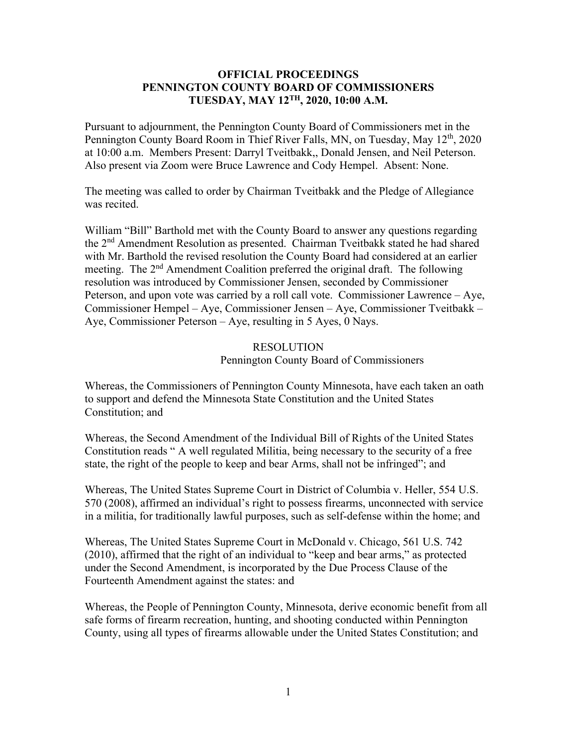## **OFFICIAL PROCEEDINGS PENNINGTON COUNTY BOARD OF COMMISSIONERS TUESDAY, MAY 12TH, 2020, 10:00 A.M.**

Pursuant to adjournment, the Pennington County Board of Commissioners met in the Pennington County Board Room in Thief River Falls, MN, on Tuesday, May 12<sup>th</sup>, 2020 at 10:00 a.m. Members Present: Darryl Tveitbakk,, Donald Jensen, and Neil Peterson. Also present via Zoom were Bruce Lawrence and Cody Hempel. Absent: None.

The meeting was called to order by Chairman Tveitbakk and the Pledge of Allegiance was recited.

William "Bill" Barthold met with the County Board to answer any questions regarding the 2nd Amendment Resolution as presented. Chairman Tveitbakk stated he had shared with Mr. Barthold the revised resolution the County Board had considered at an earlier meeting. The 2<sup>nd</sup> Amendment Coalition preferred the original draft. The following resolution was introduced by Commissioner Jensen, seconded by Commissioner Peterson, and upon vote was carried by a roll call vote. Commissioner Lawrence – Aye, Commissioner Hempel – Aye, Commissioner Jensen – Aye, Commissioner Tveitbakk – Aye, Commissioner Peterson – Aye, resulting in 5 Ayes, 0 Nays.

> RESOLUTION Pennington County Board of Commissioners

Whereas, the Commissioners of Pennington County Minnesota, have each taken an oath to support and defend the Minnesota State Constitution and the United States Constitution; and

Whereas, the Second Amendment of the Individual Bill of Rights of the United States Constitution reads " A well regulated Militia, being necessary to the security of a free state, the right of the people to keep and bear Arms, shall not be infringed"; and

Whereas, The United States Supreme Court in District of Columbia v. Heller, 554 U.S. 570 (2008), affirmed an individual's right to possess firearms, unconnected with service in a militia, for traditionally lawful purposes, such as self-defense within the home; and

Whereas, The United States Supreme Court in McDonald v. Chicago, 561 U.S. 742 (2010), affirmed that the right of an individual to "keep and bear arms," as protected under the Second Amendment, is incorporated by the Due Process Clause of the Fourteenth Amendment against the states: and

Whereas, the People of Pennington County, Minnesota, derive economic benefit from all safe forms of firearm recreation, hunting, and shooting conducted within Pennington County, using all types of firearms allowable under the United States Constitution; and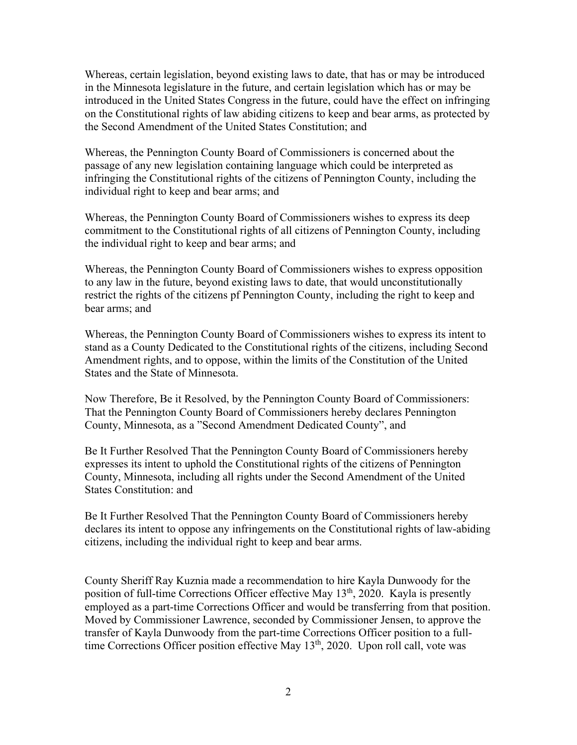Whereas, certain legislation, beyond existing laws to date, that has or may be introduced in the Minnesota legislature in the future, and certain legislation which has or may be introduced in the United States Congress in the future, could have the effect on infringing on the Constitutional rights of law abiding citizens to keep and bear arms, as protected by the Second Amendment of the United States Constitution; and

Whereas, the Pennington County Board of Commissioners is concerned about the passage of any new legislation containing language which could be interpreted as infringing the Constitutional rights of the citizens of Pennington County, including the individual right to keep and bear arms; and

Whereas, the Pennington County Board of Commissioners wishes to express its deep commitment to the Constitutional rights of all citizens of Pennington County, including the individual right to keep and bear arms; and

Whereas, the Pennington County Board of Commissioners wishes to express opposition to any law in the future, beyond existing laws to date, that would unconstitutionally restrict the rights of the citizens pf Pennington County, including the right to keep and bear arms; and

Whereas, the Pennington County Board of Commissioners wishes to express its intent to stand as a County Dedicated to the Constitutional rights of the citizens, including Second Amendment rights, and to oppose, within the limits of the Constitution of the United States and the State of Minnesota.

Now Therefore, Be it Resolved, by the Pennington County Board of Commissioners: That the Pennington County Board of Commissioners hereby declares Pennington County, Minnesota, as a "Second Amendment Dedicated County", and

Be It Further Resolved That the Pennington County Board of Commissioners hereby expresses its intent to uphold the Constitutional rights of the citizens of Pennington County, Minnesota, including all rights under the Second Amendment of the United States Constitution: and

Be It Further Resolved That the Pennington County Board of Commissioners hereby declares its intent to oppose any infringements on the Constitutional rights of law-abiding citizens, including the individual right to keep and bear arms.

County Sheriff Ray Kuznia made a recommendation to hire Kayla Dunwoody for the position of full-time Corrections Officer effective May 13<sup>th</sup>, 2020. Kayla is presently employed as a part-time Corrections Officer and would be transferring from that position. Moved by Commissioner Lawrence, seconded by Commissioner Jensen, to approve the transfer of Kayla Dunwoody from the part-time Corrections Officer position to a fulltime Corrections Officer position effective May 13<sup>th</sup>, 2020. Upon roll call, vote was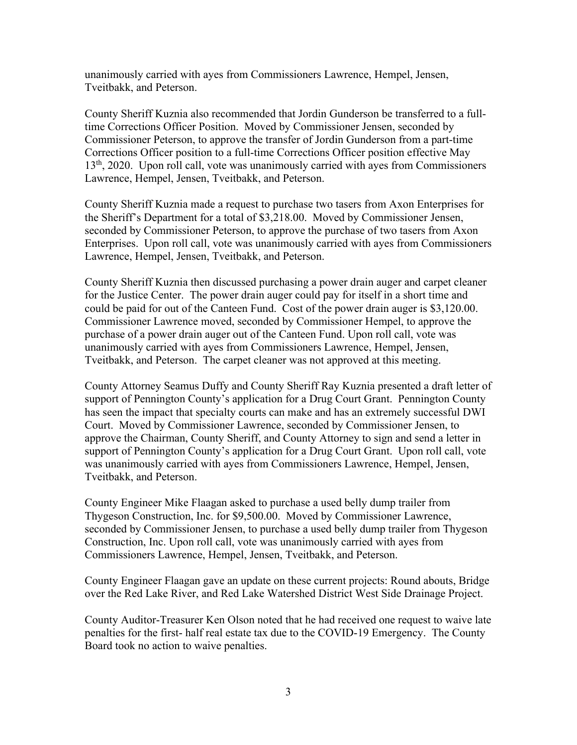unanimously carried with ayes from Commissioners Lawrence, Hempel, Jensen, Tveitbakk, and Peterson.

County Sheriff Kuznia also recommended that Jordin Gunderson be transferred to a fulltime Corrections Officer Position. Moved by Commissioner Jensen, seconded by Commissioner Peterson, to approve the transfer of Jordin Gunderson from a part-time Corrections Officer position to a full-time Corrections Officer position effective May 13<sup>th</sup>, 2020. Upon roll call, vote was unanimously carried with ayes from Commissioners Lawrence, Hempel, Jensen, Tveitbakk, and Peterson.

County Sheriff Kuznia made a request to purchase two tasers from Axon Enterprises for the Sheriff's Department for a total of \$3,218.00. Moved by Commissioner Jensen, seconded by Commissioner Peterson, to approve the purchase of two tasers from Axon Enterprises. Upon roll call, vote was unanimously carried with ayes from Commissioners Lawrence, Hempel, Jensen, Tveitbakk, and Peterson.

County Sheriff Kuznia then discussed purchasing a power drain auger and carpet cleaner for the Justice Center. The power drain auger could pay for itself in a short time and could be paid for out of the Canteen Fund. Cost of the power drain auger is \$3,120.00. Commissioner Lawrence moved, seconded by Commissioner Hempel, to approve the purchase of a power drain auger out of the Canteen Fund. Upon roll call, vote was unanimously carried with ayes from Commissioners Lawrence, Hempel, Jensen, Tveitbakk, and Peterson. The carpet cleaner was not approved at this meeting.

County Attorney Seamus Duffy and County Sheriff Ray Kuznia presented a draft letter of support of Pennington County's application for a Drug Court Grant. Pennington County has seen the impact that specialty courts can make and has an extremely successful DWI Court. Moved by Commissioner Lawrence, seconded by Commissioner Jensen, to approve the Chairman, County Sheriff, and County Attorney to sign and send a letter in support of Pennington County's application for a Drug Court Grant. Upon roll call, vote was unanimously carried with ayes from Commissioners Lawrence, Hempel, Jensen, Tveitbakk, and Peterson.

County Engineer Mike Flaagan asked to purchase a used belly dump trailer from Thygeson Construction, Inc. for \$9,500.00. Moved by Commissioner Lawrence, seconded by Commissioner Jensen, to purchase a used belly dump trailer from Thygeson Construction, Inc. Upon roll call, vote was unanimously carried with ayes from Commissioners Lawrence, Hempel, Jensen, Tveitbakk, and Peterson.

County Engineer Flaagan gave an update on these current projects: Round abouts, Bridge over the Red Lake River, and Red Lake Watershed District West Side Drainage Project.

County Auditor-Treasurer Ken Olson noted that he had received one request to waive late penalties for the first- half real estate tax due to the COVID-19 Emergency. The County Board took no action to waive penalties.